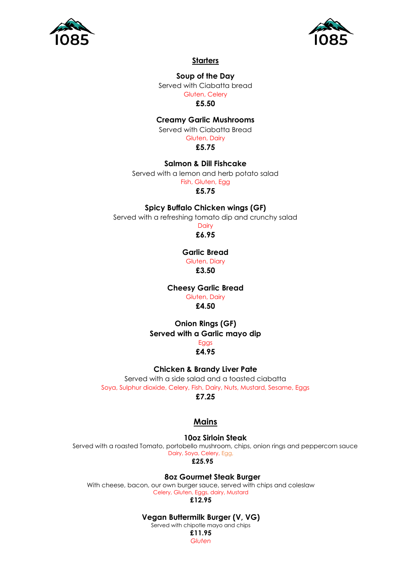



#### **Starters**

**Soup of the Day**  Served with Ciabatta bread Gluten, Celery **£5.50**

**Creamy Garlic Mushrooms**  Served with Ciabatta Bread

Gluten, Dairy

**£5.75**

**Salmon & Dill Fishcake** 

Served with a lemon and herb potato salad

Fish, Gluten, Egg

**£5.75**

**Spicy Buffalo Chicken wings (GF)**

Served with a refreshing tomato dip and crunchy salad

**Dairy £6.95**

**Garlic Bread** 

Gluten, Diary **£3.50**

**Cheesy Garlic Bread** 

Gluten, Dairy

**£4.50**

**Onion Rings (GF) Served with a Garlic mayo dip**

# Eggs

**£4.95**

**Chicken & Brandy Liver Pate**

Served with a side salad and a toasted ciabatta Soya, Sulphur dioxide, Celery, Fish, Dairy, Nuts, Mustard, Sesame, Eggs

**£7.25**

# **Mains**

**10oz Sirloin Steak**

Served with a roasted Tomato, portobello mushroom, chips, onion rings and peppercorn sauce Dairy, Soya, Celery, Egg, **£25.95**

**8oz Gourmet Steak Burger** With cheese, bacon, our own burger sauce, served with chips and coleslaw Celery, Gluten, Eggs, dairy, Mustard **£12.95**

**Vegan Buttermilk Burger (V, VG)**

Served with chipotle mayo and chips **£11.95**

*Gluten*